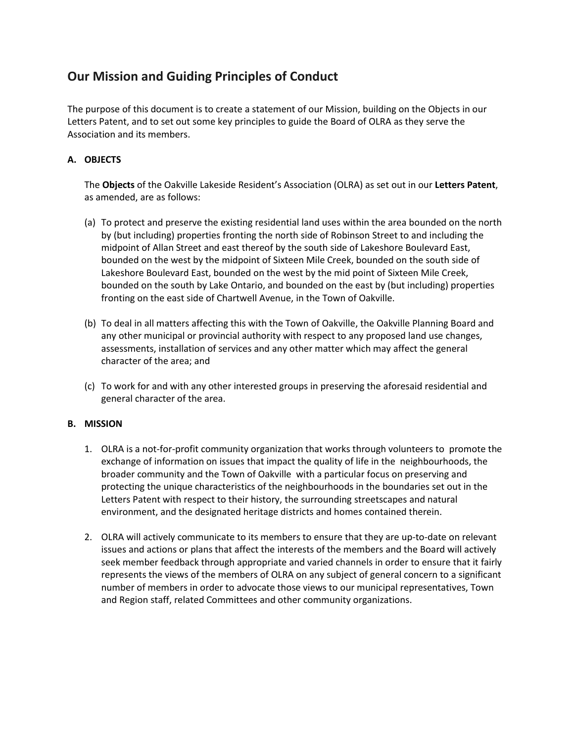# **Our Mission and Guiding Principles of Conduct**

The purpose of this document is to create a statement of our Mission, building on the Objects in our Letters Patent, and to set out some key principles to guide the Board of OLRA as they serve the Association and its members.

# **A. OBJECTS**

The **Objects** of the Oakville Lakeside Resident's Association (OLRA) as set out in our **Letters Patent**, as amended, are as follows:

- (a) To protect and preserve the existing residential land uses within the area bounded on the north by (but including) properties fronting the north side of Robinson Street to and including the midpoint of Allan Street and east thereof by the south side of Lakeshore Boulevard East, bounded on the west by the midpoint of Sixteen Mile Creek, bounded on the south side of Lakeshore Boulevard East, bounded on the west by the mid point of Sixteen Mile Creek, bounded on the south by Lake Ontario, and bounded on the east by (but including) properties fronting on the east side of Chartwell Avenue, in the Town of Oakville.
- (b) To deal in all matters affecting this with the Town of Oakville, the Oakville Planning Board and any other municipal or provincial authority with respect to any proposed land use changes, assessments, installation of services and any other matter which may affect the general character of the area; and
- (c) To work for and with any other interested groups in preserving the aforesaid residential and general character of the area.

# **B. MISSION**

- 1. OLRA is a not-for-profit community organization that works through volunteers to promote the exchange of information on issues that impact the quality of life in the neighbourhoods, the broader community and the Town of Oakville with a particular focus on preserving and protecting the unique characteristics of the neighbourhoods in the boundaries set out in the Letters Patent with respect to their history, the surrounding streetscapes and natural environment, and the designated heritage districts and homes contained therein.
- 2. OLRA will actively communicate to its members to ensure that they are up-to-date on relevant issues and actions or plans that affect the interests of the members and the Board will actively seek member feedback through appropriate and varied channels in order to ensure that it fairly represents the views of the members of OLRA on any subject of general concern to a significant number of members in order to advocate those views to our municipal representatives, Town and Region staff, related Committees and other community organizations.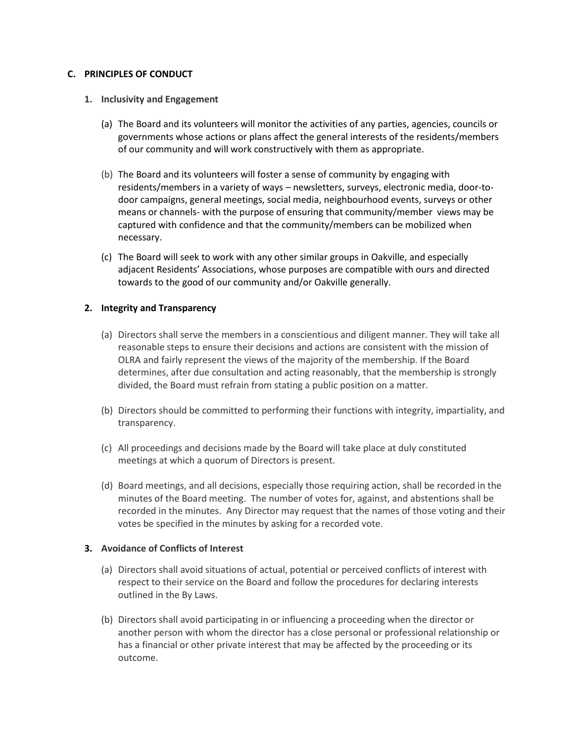## **C. PRINCIPLES OF CONDUCT**

#### **1. Inclusivity and Engagement**

- (a) The Board and its volunteers will monitor the activities of any parties, agencies, councils or governments whose actions or plans affect the general interests of the residents/members of our community and will work constructively with them as appropriate.
- (b) The Board and its volunteers will foster a sense of community by engaging with residents/members in a variety of ways – newsletters, surveys, electronic media, door-todoor campaigns, general meetings, social media, neighbourhood events, surveys or other means or channels- with the purpose of ensuring that community/member views may be captured with confidence and that the community/members can be mobilized when necessary.
- (c) The Board will seek to work with any other similar groups in Oakville, and especially adjacent Residents' Associations, whose purposes are compatible with ours and directed towards to the good of our community and/or Oakville generally.

#### **2. Integrity and Transparency**

- (a) Directors shall serve the members in a conscientious and diligent manner. They will take all reasonable steps to ensure their decisions and actions are consistent with the mission of OLRA and fairly represent the views of the majority of the membership. If the Board determines, after due consultation and acting reasonably, that the membership is strongly divided, the Board must refrain from stating a public position on a matter.
- (b) Directors should be committed to performing their functions with integrity, impartiality, and transparency.
- (c) All proceedings and decisions made by the Board will take place at duly constituted meetings at which a quorum of Directors is present.
- (d) Board meetings, and all decisions, especially those requiring action, shall be recorded in the minutes of the Board meeting. The number of votes for, against, and abstentions shall be recorded in the minutes. Any Director may request that the names of those voting and their votes be specified in the minutes by asking for a recorded vote.

## **3. Avoidance of Conflicts of Interest**

- (a) Directors shall avoid situations of actual, potential or perceived conflicts of interest with respect to their service on the Board and follow the procedures for declaring interests outlined in the By Laws.
- (b) Directors shall avoid participating in or influencing a proceeding when the director or another person with whom the director has a close personal or professional relationship or has a financial or other private interest that may be affected by the proceeding or its outcome.